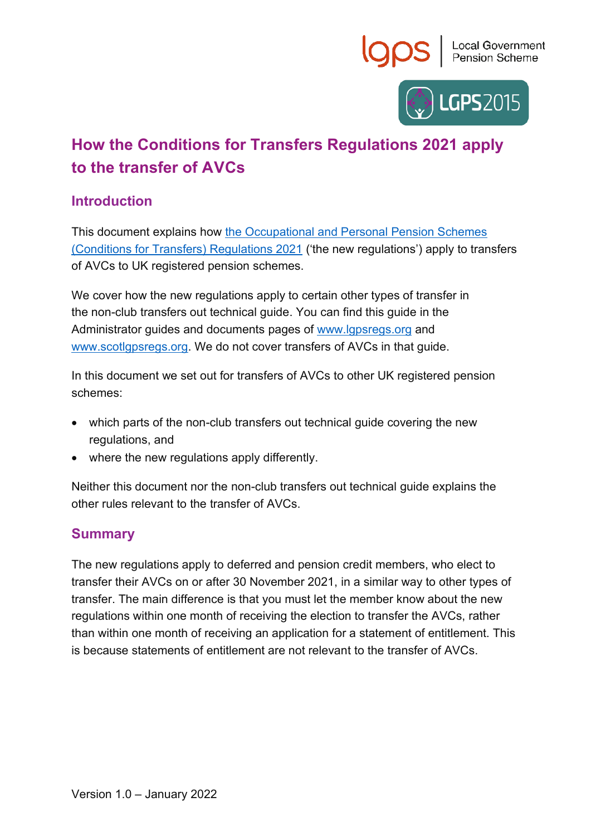



## **How the Conditions for Transfers Regulations 2021 apply to the transfer of AVCs**

## **Introduction**

This document explains how [the Occupational and Personal Pension Schemes](https://www.legislation.gov.uk/uksi/2021/1237/contents/made)  [\(Conditions for Transfers\) Regulations 2021](https://www.legislation.gov.uk/uksi/2021/1237/contents/made) ('the new regulations') apply to transfers of AVCs to UK registered pension schemes.

We cover how the new regulations apply to certain other types of transfer in the non-club transfers out technical guide. You can find this guide in the Administrator guides and documents pages of [www.lgpsregs.org](http://www.lgpsregs.org/) and [www.scotlgpsregs.org.](http://www.scotlgpsregs.org/) We do not cover transfers of AVCs in that guide.

In this document we set out for transfers of AVCs to other UK registered pension schemes:

- which parts of the non-club transfers out technical guide covering the new regulations, and
- where the new regulations apply differently.

Neither this document nor the non-club transfers out technical guide explains the other rules relevant to the transfer of AVCs.

## **Summary**

The new regulations apply to deferred and pension credit members, who elect to transfer their AVCs on or after 30 November 2021, in a similar way to other types of transfer. The main difference is that you must let the member know about the new regulations within one month of receiving the election to transfer the AVCs, rather than within one month of receiving an application for a statement of entitlement. This is because statements of entitlement are not relevant to the transfer of AVCs.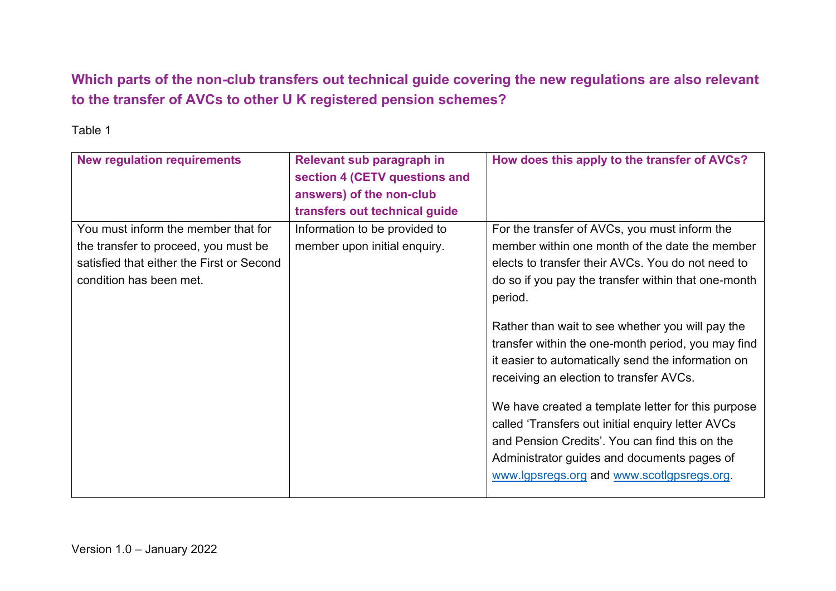**Which parts of the non-club transfers out technical guide covering the new regulations are also relevant to the transfer of AVCs to other U K registered pension schemes?**

Table 1

| <b>New regulation requirements</b>                                                                                                                  | Relevant sub paragraph in<br>section 4 (CETV questions and<br>answers) of the non-club<br>transfers out technical guide | How does this apply to the transfer of AVCs?                                                                                                                                                                                                                                                                                                                                                                                                                                                                                                                                                                                                                                                |
|-----------------------------------------------------------------------------------------------------------------------------------------------------|-------------------------------------------------------------------------------------------------------------------------|---------------------------------------------------------------------------------------------------------------------------------------------------------------------------------------------------------------------------------------------------------------------------------------------------------------------------------------------------------------------------------------------------------------------------------------------------------------------------------------------------------------------------------------------------------------------------------------------------------------------------------------------------------------------------------------------|
| You must inform the member that for<br>the transfer to proceed, you must be<br>satisfied that either the First or Second<br>condition has been met. | Information to be provided to<br>member upon initial enquiry.                                                           | For the transfer of AVCs, you must inform the<br>member within one month of the date the member<br>elects to transfer their AVCs. You do not need to<br>do so if you pay the transfer within that one-month<br>period.<br>Rather than wait to see whether you will pay the<br>transfer within the one-month period, you may find<br>it easier to automatically send the information on<br>receiving an election to transfer AVCs.<br>We have created a template letter for this purpose<br>called 'Transfers out initial enquiry letter AVCs<br>and Pension Credits'. You can find this on the<br>Administrator guides and documents pages of<br>www.lgpsregs.org and www.scotlgpsregs.org. |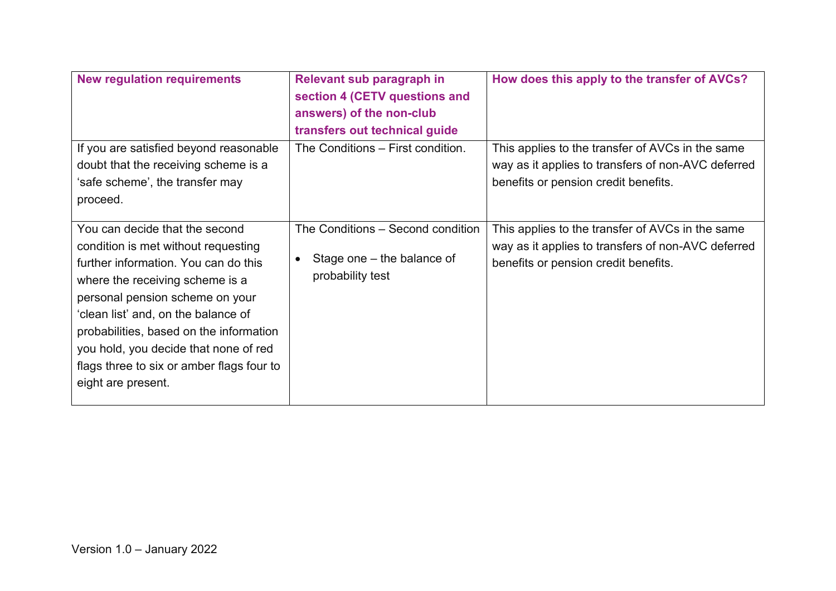| <b>New regulation requirements</b>                                                                                                                                                                                                                                                                                                                                                | Relevant sub paragraph in<br>section 4 (CETV questions and<br>answers) of the non-club<br>transfers out technical guide | How does this apply to the transfer of AVCs?                                                                                                   |
|-----------------------------------------------------------------------------------------------------------------------------------------------------------------------------------------------------------------------------------------------------------------------------------------------------------------------------------------------------------------------------------|-------------------------------------------------------------------------------------------------------------------------|------------------------------------------------------------------------------------------------------------------------------------------------|
| If you are satisfied beyond reasonable<br>doubt that the receiving scheme is a<br>'safe scheme', the transfer may<br>proceed.                                                                                                                                                                                                                                                     | The Conditions - First condition.                                                                                       | This applies to the transfer of AVCs in the same<br>way as it applies to transfers of non-AVC deferred<br>benefits or pension credit benefits. |
| You can decide that the second<br>condition is met without requesting<br>further information. You can do this<br>where the receiving scheme is a<br>personal pension scheme on your<br>'clean list' and, on the balance of<br>probabilities, based on the information<br>you hold, you decide that none of red<br>flags three to six or amber flags four to<br>eight are present. | The Conditions - Second condition<br>Stage one $-$ the balance of<br>$\bullet$<br>probability test                      | This applies to the transfer of AVCs in the same<br>way as it applies to transfers of non-AVC deferred<br>benefits or pension credit benefits. |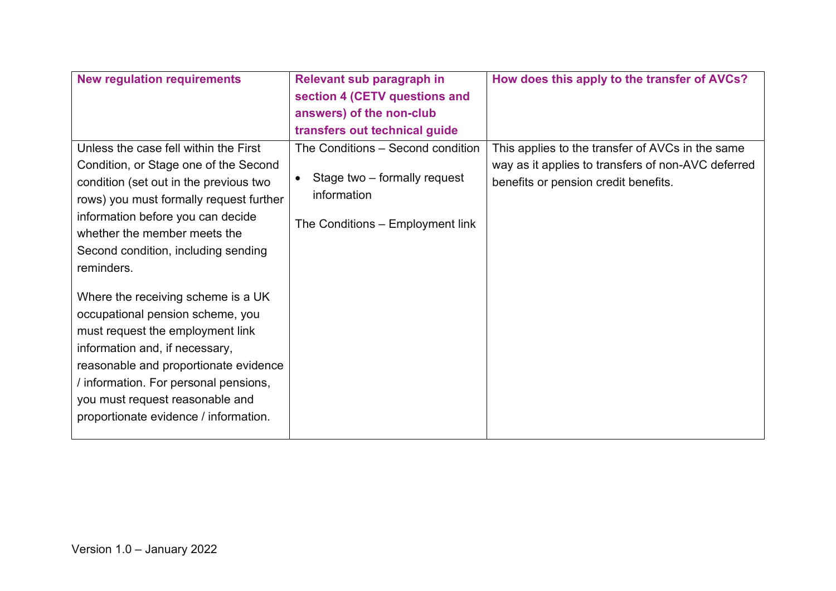| <b>New regulation requirements</b>      | Relevant sub paragraph in         | How does this apply to the transfer of AVCs?       |
|-----------------------------------------|-----------------------------------|----------------------------------------------------|
|                                         | section 4 (CETV questions and     |                                                    |
|                                         | answers) of the non-club          |                                                    |
|                                         | transfers out technical guide     |                                                    |
| Unless the case fell within the First   | The Conditions - Second condition | This applies to the transfer of AVCs in the same   |
| Condition, or Stage one of the Second   |                                   | way as it applies to transfers of non-AVC deferred |
| condition (set out in the previous two  | Stage two - formally request      | benefits or pension credit benefits.               |
| rows) you must formally request further | information                       |                                                    |
| information before you can decide       | The Conditions - Employment link  |                                                    |
| whether the member meets the            |                                   |                                                    |
| Second condition, including sending     |                                   |                                                    |
| reminders.                              |                                   |                                                    |
|                                         |                                   |                                                    |
| Where the receiving scheme is a UK      |                                   |                                                    |
| occupational pension scheme, you        |                                   |                                                    |
| must request the employment link        |                                   |                                                    |
| information and, if necessary,          |                                   |                                                    |
| reasonable and proportionate evidence   |                                   |                                                    |
| information. For personal pensions,     |                                   |                                                    |
| you must request reasonable and         |                                   |                                                    |
| proportionate evidence / information.   |                                   |                                                    |
|                                         |                                   |                                                    |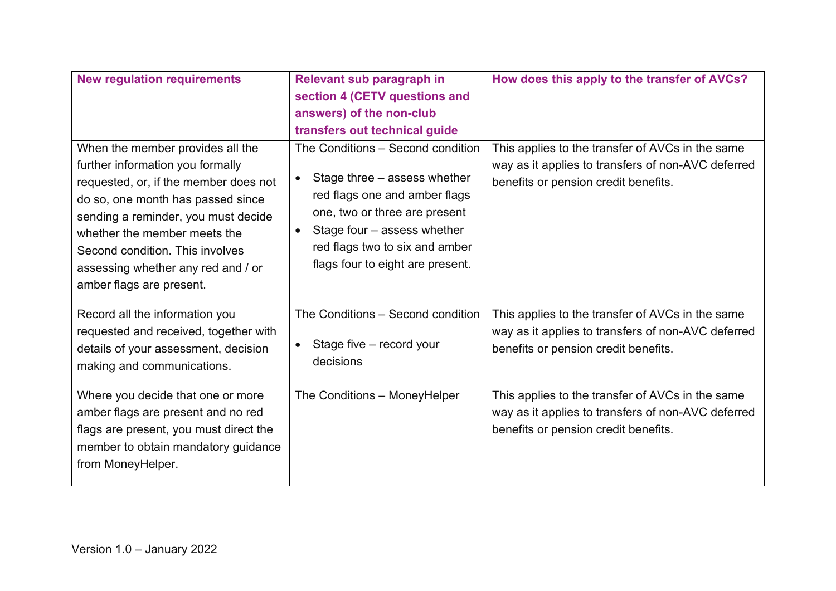| <b>New regulation requirements</b>                                                                                                                                                                                                                                                                                             | Relevant sub paragraph in<br>section 4 (CETV questions and<br>answers) of the non-club<br>transfers out technical guide                                                                                                                                            | How does this apply to the transfer of AVCs?                                                                                                   |
|--------------------------------------------------------------------------------------------------------------------------------------------------------------------------------------------------------------------------------------------------------------------------------------------------------------------------------|--------------------------------------------------------------------------------------------------------------------------------------------------------------------------------------------------------------------------------------------------------------------|------------------------------------------------------------------------------------------------------------------------------------------------|
| When the member provides all the<br>further information you formally<br>requested, or, if the member does not<br>do so, one month has passed since<br>sending a reminder, you must decide<br>whether the member meets the<br>Second condition. This involves<br>assessing whether any red and / or<br>amber flags are present. | The Conditions - Second condition<br>Stage three – assess whether<br>$\bullet$<br>red flags one and amber flags<br>one, two or three are present<br>Stage four – assess whether<br>$\bullet$<br>red flags two to six and amber<br>flags four to eight are present. | This applies to the transfer of AVCs in the same<br>way as it applies to transfers of non-AVC deferred<br>benefits or pension credit benefits. |
| Record all the information you<br>requested and received, together with<br>details of your assessment, decision<br>making and communications.                                                                                                                                                                                  | The Conditions - Second condition<br>Stage five - record your<br>$\bullet$<br>decisions                                                                                                                                                                            | This applies to the transfer of AVCs in the same<br>way as it applies to transfers of non-AVC deferred<br>benefits or pension credit benefits. |
| Where you decide that one or more<br>amber flags are present and no red<br>flags are present, you must direct the<br>member to obtain mandatory guidance<br>from MoneyHelper.                                                                                                                                                  | The Conditions - MoneyHelper                                                                                                                                                                                                                                       | This applies to the transfer of AVCs in the same<br>way as it applies to transfers of non-AVC deferred<br>benefits or pension credit benefits. |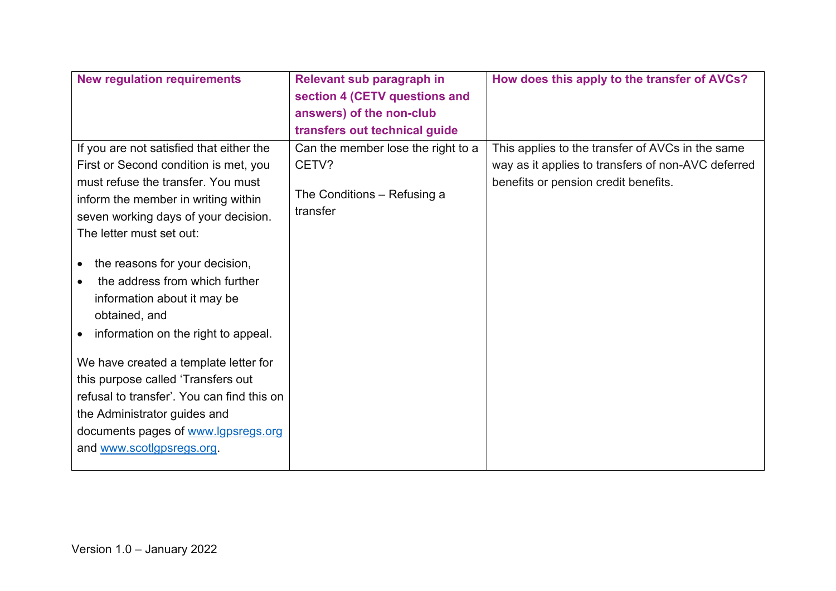| <b>New regulation requirements</b>          | Relevant sub paragraph in          | How does this apply to the transfer of AVCs?       |
|---------------------------------------------|------------------------------------|----------------------------------------------------|
|                                             | section 4 (CETV questions and      |                                                    |
|                                             | answers) of the non-club           |                                                    |
|                                             | transfers out technical guide      |                                                    |
| If you are not satisfied that either the    | Can the member lose the right to a | This applies to the transfer of AVCs in the same   |
| First or Second condition is met, you       | CETV?                              | way as it applies to transfers of non-AVC deferred |
| must refuse the transfer. You must          |                                    | benefits or pension credit benefits.               |
| inform the member in writing within         | The Conditions – Refusing a        |                                                    |
| seven working days of your decision.        | transfer                           |                                                    |
| The letter must set out:                    |                                    |                                                    |
| the reasons for your decision,<br>$\bullet$ |                                    |                                                    |
| the address from which further<br>$\bullet$ |                                    |                                                    |
| information about it may be                 |                                    |                                                    |
| obtained, and                               |                                    |                                                    |
|                                             |                                    |                                                    |
| information on the right to appeal.         |                                    |                                                    |
| We have created a template letter for       |                                    |                                                    |
| this purpose called 'Transfers out          |                                    |                                                    |
| refusal to transfer'. You can find this on  |                                    |                                                    |
| the Administrator guides and                |                                    |                                                    |
| documents pages of www.lgpsregs.org         |                                    |                                                    |
| and www.scotlgpsregs.org.                   |                                    |                                                    |
|                                             |                                    |                                                    |